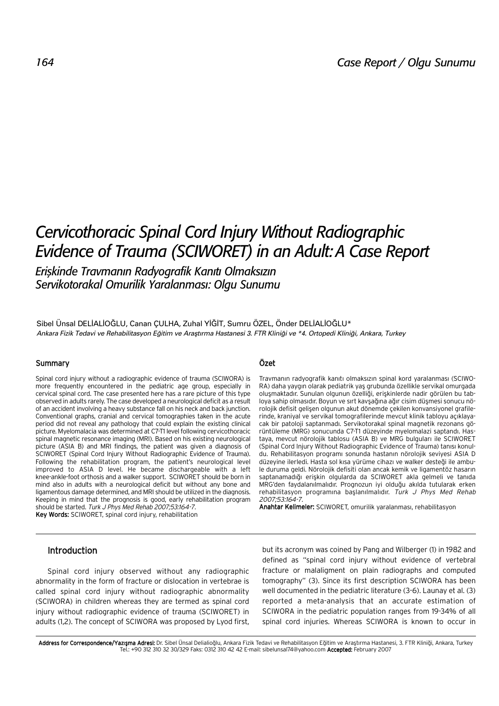# *Cervicothoracic Spinal Cord Injury Without Radiographic Evidence of Trauma (SCIWORET) in an Adult: A Case Report*

*Eriflkinde Travman›n Radyografik Kan›t› Olmaks›z›n Servikotorakal Omurilik Yaralanmas›: Olgu Sunumu*

Sibel Ünsal DELİALİOĞLU, Canan ÇULHA, Zuhal YİĞİT, Sumru ÖZEL, Önder DELİALİOĞLU\* *Ankara Fizik Tedavi ve Rehabilitasyon E¤itim ve Araflt›rma Hastanesi 3. FTR Klini¤i ve \*4. Ortopedi Klini¤i, Ankara, Turkey*

## Summary

Spinal cord injury without a radiographic evidence of trauma (SCIWORA) is more frequently encountered in the pediatric age group, especially in cervical spinal cord. The case presented here has a rare picture of this type observed in adults rarely. The case developed a neurological deficit as a result of an accident involving a heavy substance fall on his neck and back junction. Conventional graphs, cranial and cervical tomographies taken in the acute period did not reveal any pathology that could explain the existing clinical picture. Myelomalacia was determined at C7-T1 level following cervicothoracic spinal magnetic resonance imaging (MRI). Based on his existing neurological picture (ASIA B) and MRI findings, the patient was given a diagnosis of SCIWORET (Spinal Cord Injury Without Radiographic Evidence of Trauma). Following the rehabilitation program, the patient's neurological level improved to ASIA D level. He became dischargeable with a left knee-ankle-foot orthosis and a walker support. SCIWORET should be born in mind also in adults with a neurological deficit but without any bone and ligamentous damage determined, and MRI should be utilized in the diagnosis. Keeping in mind that the prognosis is good, early rehabilitation program should be started. Turk J Phys Med Rehab 2007;53:164-7.

Key Words: SCIWORET, spinal cord injury, rehabilitation

## Özet

Travmanın radyografik kanıtı olmaksızın spinal kord yaralanması (SCIWO-RA) daha yaygın olarak pediatrik yaş grubunda özellikle servikal omurgada olusmaktadır. Sunulan olgunun özelliği, erişkinlerde nadir görülen bu tabloya sahip olmasıdır. Boyun ve sırt kavşağına ağır cisim düşmesi sonucu nörolojik defisit gelişen olgunun akut dönemde çekilen konvansiyonel grafilerinde, kraniyal ve servikal tomografilerinde mevcut klinik tabloyu açıklayacak bir patoloji saptanmadı. Servikotorakal spinal magnetik rezonans görüntüleme (MRG) sonucunda C7-T1 düzeyinde myelomalazi saptandı. Hastaya, mevcut nörolojik tablosu (ASIA B) ve MRG bulguları ile SCIWORET (Spinal Cord Injury Without Radiographic Evidence of Trauma) tanısı konuldu. Rehabilitasyon programı sonunda hastanın nörolojik seviyesi ASIA D düzevine ilerledi. Hasta sol kısa yürüme cihazı ve walker desteği ile ambule duruma geldi. Nörolojik defisiti olan ancak kemik ve ligamentöz hasarın saptanamadığı erişkin olgularda da SCIWORET akla gelmeli ve tanıda MRG'den faydalanılmalıdır. Prognozun iyi olduğu akılda tutularak erken rehabilitasyon programına başlanılmalıdır. Turk J Phys Med Rehab 2007;53:164-7.

Anahtar Kelimeler: SCIWORET, omurilik yaralanması, rehabilitasyon

# Introduction

Spinal cord injury observed without any radiographic abnormality in the form of fracture or dislocation in vertebrae is called spinal cord injury without radiographic abnormality (SCIWORA) in children whereas they are termed as spinal cord injury without radiographic evidence of trauma (SCIWORET) in adults (1,2). The concept of SCIWORA was proposed by Lyod first, but its acronym was coined by Pang and Wilberger (1) in 1982 and defined as "spinal cord injury without evidence of vertebral fracture or malaligment on plain radiographs and computed tomography" (3). Since its first description SCIWORA has been well documented in the pediatric literature (3-6). Launay et al. (3) reported a meta-analysis that an accurate estimation of SCIWORA in the pediatric population ranges from 19-34% of all spinal cord injuries. Whereas SCIWORA is known to occur in

Address for Correspondence/Yazışma Adresi: Dr. Sibel Ünsal Delialioğlu, Ankara Fizik Tedavi ve Rehabilitasyon Eğitim ve Araştırma Hastanesi, 3. FTR Kliniği, Ankara, Turkey Tel.: +90 312 310 32 30/329 Faks: 0312 310 42 42 E-mail: sibelunsal74@yahoo.com Accepted: February 2007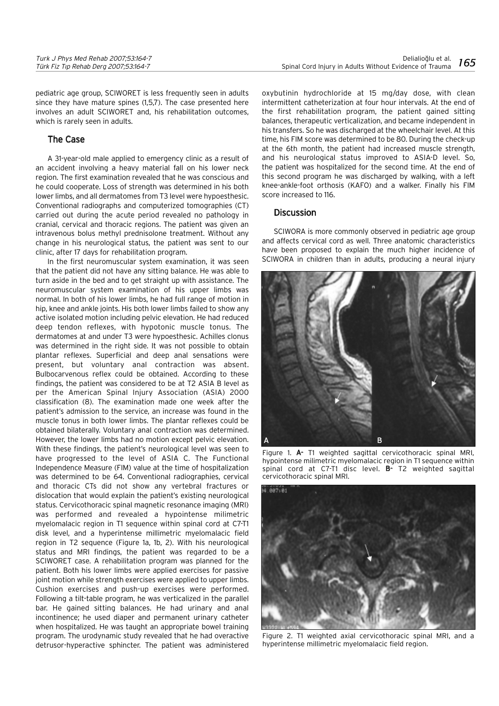| Turk J Phys Med Rehab 2007;53:164-7   |                                      |
|---------------------------------------|--------------------------------------|
| Türk Fiz Tıp Rehab Derg 2007;53:164-7 | Spinal Cord Injury in Adults Without |

pediatric age group, SCIWORET is less frequently seen in adults since they have mature spines (1,5,7). The case presented here involves an adult SCIWORET and, his rehabilitation outcomes, which is rarely seen in adults.

## The Case

A 31-year-old male applied to emergency clinic as a result of an accident involving a heavy material fall on his lower neck region. The first examination revealed that he was conscious and he could cooperate. Loss of strength was determined in his both lower limbs, and all dermatomes from T3 level were hypoesthesic. Conventional radiographs and computerized tomographies (CT) carried out during the acute period revealed no pathology in cranial, cervical and thoracic regions. The patient was given an intravenous bolus methyl prednisolone treatment. Without any change in his neurological status, the patient was sent to our clinic, after 17 days for rehabilitation program.

In the first neuromuscular system examination, it was seen that the patient did not have any sitting balance. He was able to turn aside in the bed and to get straight up with assistance. The neuromuscular system examination of his upper limbs was normal. In both of his lower limbs, he had full range of motion in hip, knee and ankle joints. His both lower limbs failed to show any active isolated motion including pelvic elevation. He had reduced deep tendon reflexes, with hypotonic muscle tonus. The dermatomes at and under T3 were hypoesthesic. Achilles clonus was determined in the right side. It was not possible to obtain plantar reflexes. Superficial and deep anal sensations were present, but voluntary anal contraction was absent. Bulbocarvenous reflex could be obtained. According to these findings, the patient was considered to be at T2 ASIA B level as per the American Spinal Injury Association (ASIA) 2000 classification (8). The examination made one week after the patient's admission to the service, an increase was found in the muscle tonus in both lower limbs. The plantar reflexes could be obtained bilaterally. Voluntary anal contraction was determined. However, the lower limbs had no motion except pelvic elevation. With these findings, the patient's neurological level was seen to have progressed to the level of ASIA C. The Functional Independence Measure (FIM) value at the time of hospitalization was determined to be 64. Conventional radiographies, cervical and thoracic CTs did not show any vertebral fractures or dislocation that would explain the patient's existing neurological status. Cervicothoracic spinal magnetic resonance imaging (MRI) was performed and revealed a hypointense milimetric myelomalacic region in T1 sequence within spinal cord at C7-T1 disk level, and a hyperintense millimetric myelomalacic field region in T2 sequence (Figure 1a, 1b, 2). With his neurological status and MRI findings, the patient was regarded to be a SCIWORET case. A rehabilitation program was planned for the patient. Both his lower limbs were applied exercises for passive joint motion while strength exercises were applied to upper limbs. Cushion exercises and push-up exercises were performed. Following a tilt-table program, he was verticalized in the parallel bar. He gained sitting balances. He had urinary and anal incontinence; he used diaper and permanent urinary catheter when hospitalized. He was taught an appropriate bowel training program. The urodynamic study revealed that he had overactive detrusor-hyperactive sphincter. The patient was administered

oxybutinin hydrochloride at 15 mg/day dose, with clean intermittent catheterization at four hour intervals. At the end of the first rehabilitation program, the patient gained sitting balances, therapeutic verticalization, and became independent in his transfers. So he was discharged at the wheelchair level. At this time, his FIM score was determined to be 80. During the check-up at the 6th month, the patient had increased muscle strength, and his neurological status improved to ASIA-D level. So, the patient was hospitalized for the second time. At the end of this second program he was discharged by walking, with a left knee-ankle-foot orthosis (KAFO) and a walker. Finally his FIM score increased to 116.

### **Discussion**

SCIWORA is more commonly observed in pediatric age group and affects cervical cord as well. Three anatomic characteristics have been proposed to explain the much higher incidence of SCIWORA in children than in adults, producing a neural injury



Figure 1. A- T1 weighted sagittal cervicothoracic spinal MRI, hypointense milimetric myelomalacic region in T1 sequence within spinal cord at C7-T1 disc level.  $B - T2$  weighted sagittal cervicothoracic spinal MRI.



Figure 2. T1 weighted axial cervicothoracic spinal MRI, and a hyperintense millimetric myelomalacic field region.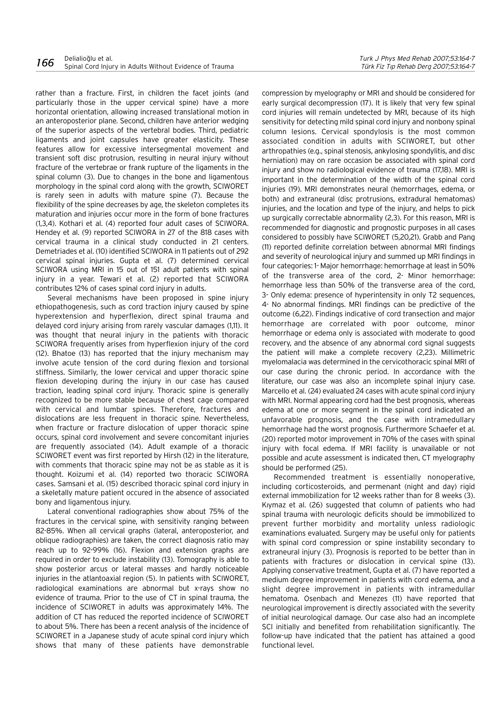rather than a fracture. First, in children the facet joints (and particularly those in the upper cervical spine) have a more horizontal orientation, allowing increased translational motion in an anteroposterior plane. Second, children have anterior wedging of the superior aspects of the vertebral bodies. Third, pediatric ligaments and joint capsules have greater elasticity. These features allow for excessive intersegmental movement and transient soft disc protrusion, resulting in neural injury without fracture of the vertebrae or frank rupture of the ligaments in the spinal column (3). Due to changes in the bone and ligamentous morphology in the spinal cord along with the growth, SCIWORET is rarely seen in adults with mature spine (7). Because the flexibility of the spine decreases by age, the skeleton completes its maturation and injuries occur more in the form of bone fractures (1,3,4). Kothari et al. (4) reported four adult cases of SCIWORA. Hendey et al. (9) reported SCIWORA in 27 of the 818 cases with cervical trauma in a clinical study conducted in 21 centers. Demetriades et al. (10) identified SCIWORA in 11 patients out of 292 cervical spinal injuries. Gupta et al. (7) determined cervical SCIWORA using MRI in 15 out of 151 adult patients with spinal injury in a year. Tewari et al. (2) reported that SCIWORA contributes 12% of cases spinal cord injury in adults.

Several mechanisms have been proposed in spine injury ethiopathogenesis, such as cord traction injury caused by spine hyperextension and hyperflexion, direct spinal trauma and delayed cord injury arising from rarely vascular damages (1,11). It was thought that neural injury in the patients with thoracic SCIWORA frequently arises from hyperflexion injury of the cord (12). Bhatoe (13) has reported that the injury mechanism may involve acute tension of the cord during flexion and torsional stiffness. Similarly, the lower cervical and upper thoracic spine flexion developing during the injury in our case has caused traction, leading spinal cord injury. Thoracic spine is generally recognized to be more stable because of chest cage compared with cervical and lumbar spines. Therefore, fractures and dislocations are less frequent in thoracic spine. Nevertheless, when fracture or fracture dislocation of upper thoracic spine occurs, spinal cord involvement and severe concomitant injuries are frequently associated (14). Adult example of a thoracic SCIWORET event was first reported by Hirsh (12) in the literature, with comments that thoracic spine may not be as stable as it is thought. Koizumi et al. (14) reported two thoracic SCIWORA cases. Samsani et al. (15) described thoracic spinal cord injury in a skeletally mature patient occured in the absence of associated bony and ligamentous injury.

Lateral conventional radiographies show about 75% of the fractures in the cervical spine, with sensitivity ranging between 82-85%. When all cervical graphs (lateral, anteroposterior, and oblique radiographies) are taken, the correct diagnosis ratio may reach up to 92-99% (16). Flexion and extension graphs are required in order to exclude instability (13). Tomography is able to show posterior arcus or lateral masses and hardly noticeable injuries in the atlantoaxial region (5). In patients with SCIWORET, radiological examinations are abnormal but x-rays show no evidence of trauma. Prior to the use of CT in spinal trauma, the incidence of SCIWORET in adults was approximately 14%. The addition of CT has reduced the reported incidence of SCIWORET to about 5%. There has been a recent analysis of the incidence of SCIWORET in a Japanese study of acute spinal cord injury which shows that many of these patients have demonstrable compression by myelography or MRI and should be considered for early surgical decompression (17). It is likely that very few spinal cord injuries will remain undetected by MRI, because of its high sensitivity for detecting mild spinal cord injury and nonbony spinal column lesions. Cervical spondylosis is the most common associated condition in adults with SCIWORET, but other arthropathies (e.g., spinal stenosis, ankylosing spondylitis, and disc herniation) may on rare occasion be associated with spinal cord injury and show no radiological evidence of trauma (17,18). MRI is important in the determination of the width of the spinal cord injuries (19). MRI demonstrates neural (hemorrhages, edema, or both) and extraneural (disc protrusions, extradural hematomas) injuries, and the location and type of the injury, and helps to pick up surgically correctable abnormality (2,3). For this reason, MRI is recommended for diagnostic and prognostic purposes in all cases considered to possibly have SCIWORET (5,20,21). Grabb and Pang (11) reported definite correlation between abnormal MRI findings and severity of neurological injury and summed up MRI findings in four categories: 1- Major hemorrhage: hemorrhage at least in 50% of the transverse area of the cord, 2- Minor hemorrhage: hemorrhage less than 50% of the transverse area of the cord, 3- Only edema: presence of hyperintensity in only T2 sequences, 4- No abnormal findings. MRI findings can be predictive of the outcome (6,22). Findings indicative of cord transection and major hemorrhage are correlated with poor outcome, minor hemorrhage or edema only is associated with moderate to good recovery, and the absence of any abnormal cord signal suggests the patient will make a complete recovery (2,23). Millimetric myelomalacia was determined in the cervicothoracic spinal MRI of our case during the chronic period. In accordance with the literature, our case was also an incomplete spinal injury case. Marcello et al. (24) evaluated 24 cases with acute spinal cord injury with MRI. Normal appearing cord had the best prognosis, whereas edema at one or more segment in the spinal cord indicated an unfavorable prognosis, and the case with intramedullary hemorrhage had the worst prognosis. Furthermore Schaefer et al. (20) reported motor improvement in 70% of the cases with spinal injury with focal edema. If MRI facility is unavailable or not possible and acute assessment is indicated then, CT myelography should be performed (25).

Recommended treatment is essentially nonoperative, including corticosteroids, and permenant (night and day) rigid external immobilization for 12 weeks rather than for 8 weeks (3). Kiymaz et al. (26) suggested that column of patients who had spinal trauma with neurologic deficits should be immobilized to prevent further morbidity and mortality unless radiologic examinations evaluated. Surgery may be useful only for patients with spinal cord compression or spine instability secondary to extraneural injury (3). Prognosis is reported to be better than in patients with fractures or dislocation in cervical spine (13). Applying conservative treatment, Gupta et al. (7) have reported a medium degree improvement in patients with cord edema, and a slight degree improvement in patients with intramedullar hematoma. Osenbach and Menezes (11) have reported that neurological improvement is directly associated with the severity of initial neurological damage. Our case also had an incomplete SCI initially and benefited from rehabilitation significantly. The follow-up have indicated that the patient has attained a good functional level.